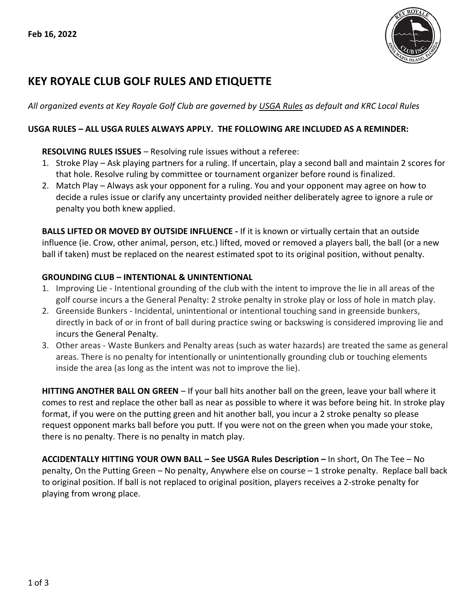

# **KEY ROYALE CLUB GOLF RULES AND ETIQUETTE**

*All organized events at Key Royale Golf Club are governed by USGA Rules as default and KRC Local Rules*

### **USGA RULES – ALL USGA RULES ALWAYS APPLY. THE FOLLOWING ARE INCLUDED AS A REMINDER:**

### **RESOLVING RULES ISSUES** – Resolving rule issues without a referee:

- 1. Stroke Play Ask playing partners for a ruling. If uncertain, play a second ball and maintain 2 scores for that hole. Resolve ruling by committee or tournament organizer before round is finalized.
- 2. Match Play Always ask your opponent for a ruling. You and your opponent may agree on how to decide a rules issue or clarify any uncertainty provided neither deliberately agree to ignore a rule or penalty you both knew applied.

**BALLS LIFTED OR MOVED BY OUTSIDE INFLUENCE -** If it is known or virtually certain that an outside influence (ie. Crow, other animal, person, etc.) lifted, moved or removed a players ball, the ball (or a new ball if taken) must be replaced on the nearest estimated spot to its original position, without penalty.

## **GROUNDING CLUB – INTENTIONAL & UNINTENTIONAL**

- 1. Improving Lie Intentional grounding of the club with the intent to improve the lie in all areas of the golf course incurs a the General Penalty: 2 stroke penalty in stroke play or loss of hole in match play.
- 2. Greenside Bunkers Incidental, unintentional or intentional touching sand in greenside bunkers, directly in back of or in front of ball during practice swing or backswing is considered improving lie and incurs the General Penalty.
- 3. Other areas Waste Bunkers and Penalty areas (such as water hazards) are treated the same as general areas. There is no penalty for intentionally or unintentionally grounding club or touching elements inside the area (as long as the intent was not to improve the lie).

**HITTING ANOTHER BALL ON GREEN** – If your ball hits another ball on the green, leave your ball where it comes to rest and replace the other ball as near as possible to where it was before being hit. In stroke play format, if you were on the putting green and hit another ball, you incur a 2 stroke penalty so please request opponent marks ball before you putt. If you were not on the green when you made your stoke, there is no penalty. There is no penalty in match play.

**ACCIDENTALLY HITTING YOUR OWN BALL – See USGA Rules Description –** In short, On The Tee – No penalty, On the Putting Green – No penalty, Anywhere else on course – 1 stroke penalty. Replace ball back to original position. If ball is not replaced to original position, players receives a 2-stroke penalty for playing from wrong place.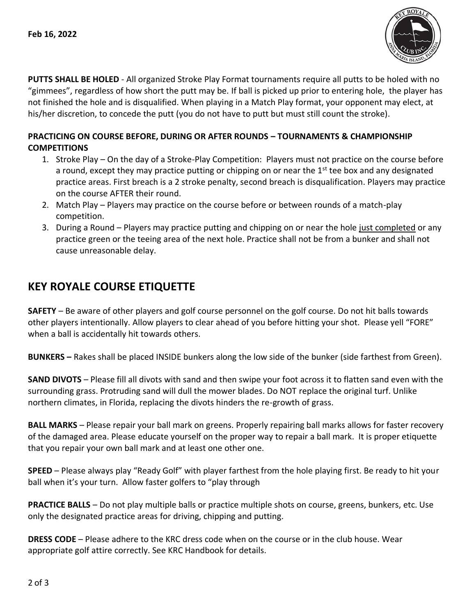

**PUTTS SHALL BE HOLED** - All organized Stroke Play Format tournaments require all putts to be holed with no "gimmees", regardless of how short the putt may be. If ball is picked up prior to entering hole, the player has not finished the hole and is disqualified. When playing in a Match Play format, your opponent may elect, at his/her discretion, to concede the putt (you do not have to putt but must still count the stroke).

## **PRACTICING ON COURSE BEFORE, DURING OR AFTER ROUNDS – TOURNAMENTS & CHAMPIONSHIP COMPETITIONS**

- 1. Stroke Play On the day of a Stroke-Play Competition: Players must not practice on the course before a round, except they may practice putting or chipping on or near the 1<sup>st</sup> tee box and any designated practice areas. First breach is a 2 stroke penalty, second breach is disqualification. Players may practice on the course AFTER their round.
- 2. Match Play Players may practice on the course before or between rounds of a match-play competition.
- 3. During a Round Players may practice putting and chipping on or near the hole just completed or any practice green or the teeing area of the next hole. Practice shall not be from a bunker and shall not cause unreasonable delay.

## **KEY ROYALE COURSE ETIQUETTE**

**SAFETY** – Be aware of other players and golf course personnel on the golf course. Do not hit balls towards other players intentionally. Allow players to clear ahead of you before hitting your shot. Please yell "FORE" when a ball is accidentally hit towards others.

**BUNKERS –** Rakes shall be placed INSIDE bunkers along the low side of the bunker (side farthest from Green).

**SAND DIVOTS** – Please fill all divots with sand and then swipe your foot across it to flatten sand even with the surrounding grass. Protruding sand will dull the mower blades. Do NOT replace the original turf. Unlike northern climates, in Florida, replacing the divots hinders the re-growth of grass.

**BALL MARKS** – Please repair your ball mark on greens. Properly repairing ball marks allows for faster recovery of the damaged area. Please educate yourself on the proper way to repair a ball mark. It is proper etiquette that you repair your own ball mark and at least one other one.

**SPEED** – Please always play "Ready Golf" with player farthest from the hole playing first. Be ready to hit your ball when it's your turn. Allow faster golfers to "play through

**PRACTICE BALLS** – Do not play multiple balls or practice multiple shots on course, greens, bunkers, etc. Use only the designated practice areas for driving, chipping and putting.

**DRESS CODE** – Please adhere to the KRC dress code when on the course or in the club house. Wear appropriate golf attire correctly. See KRC Handbook for details.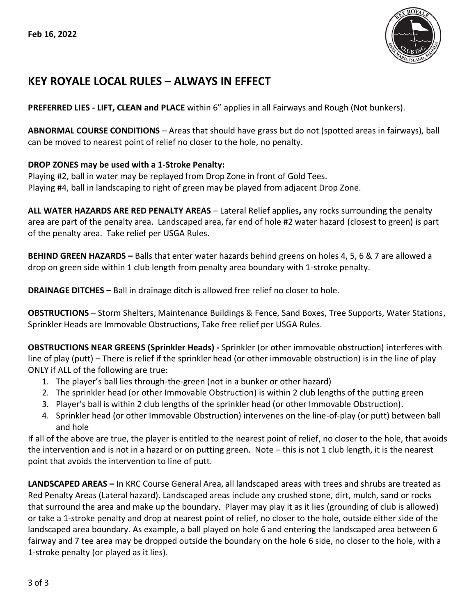

## **KEY ROYALE LOCAL RULES – ALWAYS IN EFFECT**

**PREFERRED LIES - LIFT, CLEAN and PLACE** within 6" applies in all Fairways and Rough (Not bunkers).

**ABNORMAL COURSE CONDITIONS** – Areas that should have grass but do not (spotted areas in fairways), ball can be moved to nearest point of relief no closer to the hole, no penalty.

## **DROP ZONES may be used with a 1-Stroke Penalty:**

Playing #2, ball in water may be replayed from Drop Zone in front of Gold Tees. Playing #4, ball in landscaping to right of green may be played from adjacent Drop Zone.

**ALL WATER HAZARDS ARE RED PENALTY AREAS** – Lateral Relief applies**,** any rocks surrounding the penalty area are part of the penalty area. Landscaped area, far end of hole #2 water hazard (closest to green) is part of the penalty area. Take relief per USGA Rules.

**BEHIND GREEN HAZARDS –** Balls that enter water hazards behind greens on holes 4, 5, 6 & 7 are allowed a drop on green side within 1 club length from penalty area boundary with 1-stroke penalty.

**DRAINAGE DITCHES –** Ball in drainage ditch is allowed free relief no closer to hole.

**OBSTRUCTIONS** – Storm Shelters, Maintenance Buildings & Fence, Sand Boxes, Tree Supports, Water Stations, Sprinkler Heads are Immovable Obstructions, Take free relief per USGA Rules.

**OBSTRUCTIONS NEAR GREENS (Sprinkler Heads) -** Sprinkler (or other immovable obstruction) interferes with line of play (putt) – There is relief if the sprinkler head (or other immovable obstruction) is in the line of play ONLY if ALL of the following are true:

- 1. The player's ball lies through-the-green (not in a bunker or other hazard)
- 2. The sprinkler head (or other Immovable Obstruction) is within 2 club lengths of the putting green
- 3. Player's ball is within 2 club lengths of the sprinkler head (or other Immovable Obstruction).
- 4. Sprinkler head (or other Immovable Obstruction) intervenes on the line-of-play (or putt) between ball and hole

If all of the above are true, the player is entitled to the nearest point of relief, no closer to the hole, that avoids the intervention and is not in a hazard or on putting green. Note – this is not 1 club length, it is the nearest point that avoids the intervention to line of putt.

**LANDSCAPED AREAS –** In KRC Course General Area, all landscaped areas with trees and shrubs are treated as Red Penalty Areas (Lateral hazard). Landscaped areas include any crushed stone, dirt, mulch, sand or rocks that surround the area and make up the boundary. Player may play it as it lies (grounding of club is allowed) or take a 1-stroke penalty and drop at nearest point of relief, no closer to the hole, outside either side of the landscaped area boundary. As example, a ball played on hole 6 and entering the landscaped area between 6 fairway and 7 tee area may be dropped outside the boundary on the hole 6 side, no closer to the hole, with a 1-stroke penalty (or played as it lies).